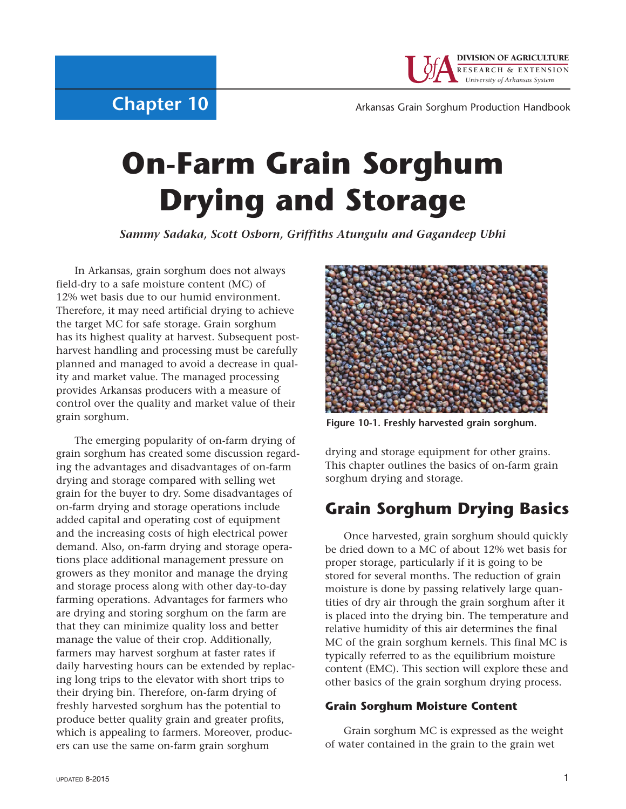

**Chapter 10**

Arkansas Grain Sorghum Production Handbook

# **On-Farm Grain Sorghum Drying and Storage**

*Sammy Sadaka, Scott Osborn, Griffiths Atungulu and Gagandeep Ubhi*

In Arkansas, grain sorghum does not always field-dry to a safe moisture content (MC) of 12% wet basis due to our humid environment. Therefore, it may need artificial drying to achieve the target MC for safe storage. Grain sorghum has its highest quality at harvest. Subsequent postharvest handling and processing must be carefully planned and managed to avoid a decrease in quality and market value. The managed processing provides Arkansas producers with a measure of control over the quality and market value of their grain sorghum.

The emerging popularity of on-farm drying of grain sorghum has created some discussion regarding the advantages and disadvantages of on-farm drying and storage compared with selling wet grain for the buyer to dry. Some disadvantages of on-farm drying and storage operations include added capital and operating cost of equipment and the increasing costs of high electrical power demand. Also, on-farm drying and storage operations place additional management pressure on growers as they monitor and manage the drying and storage process along with other day-to-day farming operations. Advantages for farmers who are drying and storing sorghum on the farm are that they can minimize quality loss and better manage the value of their crop. Additionally, farmers may harvest sorghum at faster rates if daily harvesting hours can be extended by replacing long trips to the elevator with short trips to their drying bin. Therefore, on-farm drying of freshly harvested sorghum has the potential to produce better quality grain and greater profits, which is appealing to farmers. Moreover, producers can use the same on-farm grain sorghum



Figure 10-1. Freshly harvested grain sorghum.

drying and storage equipment for other grains. This chapter outlines the basics of on-farm grain sorghum drying and storage.

# **Grain Sorghum Drying Basics**

Once harvested, grain sorghum should quickly be dried down to a MC of about 12% wet basis for proper storage, particularly if it is going to be stored for several months. The reduction of grain moisture is done by passing relatively large quantities of dry air through the grain sorghum after it is placed into the drying bin. The temperature and relative humidity of this air determines the final MC of the grain sorghum kernels. This final MC is typically referred to as the equilibrium moisture content (EMC). This section will explore these and other basics of the grain sorghum drying process.

### **Grain Sorghum Moisture Content**

Grain sorghum MC is expressed as the weight of water contained in the grain to the grain wet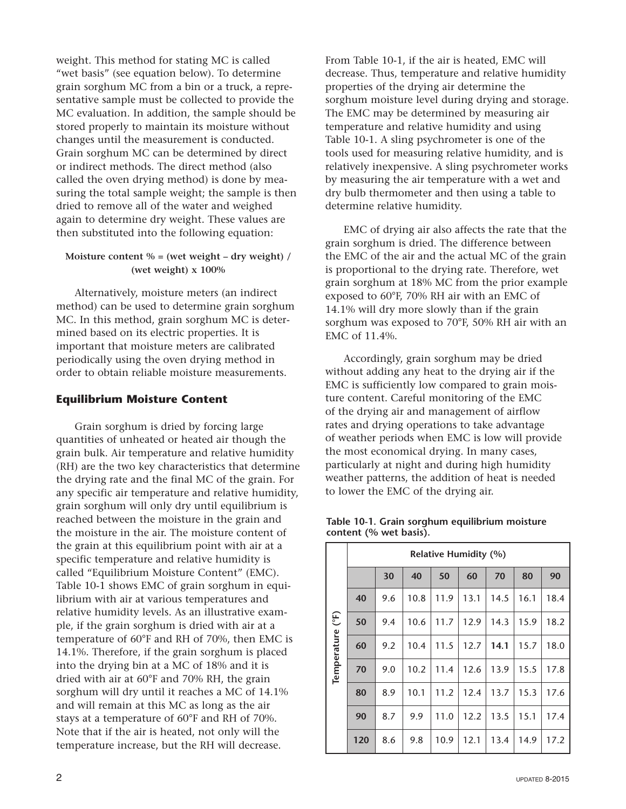weight. This method for stating MC is called "wet basis" (see equation below). To determine grain sorghum MC from a bin or a truck, a representative sample must be collected to provide the MC evaluation. In addition, the sample should be stored properly to maintain its moisture without changes until the measurement is conducted. Grain sorghum MC can be determined by direct or indirect methods. The direct method (also called the oven drying method) is done by measuring the total sample weight; the sample is then dried to remove all of the water and weighed again to determine dry weight. These values are then substituted into the following equation:

#### **Moisture content % = (wet weight – dry weight) / (wet weight) x 100%**

Alternatively, moisture meters (an indirect method) can be used to determine grain sorghum MC. In this method, grain sorghum MC is determined based on its electric properties. It is important that moisture meters are calibrated periodically using the oven drying method in order to obtain reliable moisture measurements.

#### **Equilibrium Moisture Content**

Grain sorghum is dried by forcing large quantities of unheated or heated air though the grain bulk. Air temperature and relative humidity (RH) are the two key characteristics that determine the drying rate and the final MC of the grain. For any specific air temperature and relative humidity, grain sorghum will only dry until equilibrium is reached between the moisture in the grain and the moisture in the air. The moisture content of the grain at this equilibrium point with air at a specific temperature and relative humidity is called "Equilibrium Moisture Content" (EMC). Table 10-1 shows EMC of grain sorghum in equilibrium with air at various temperatures and relative humidity levels. As an illustrative example, if the grain sorghum is dried with air at a temperature of 60°F and RH of 70%, then EMC is 14.1%. Therefore, if the grain sorghum is placed into the drying bin at a MC of 18% and it is dried with air at 60°F and 70% RH, the grain sorghum will dry until it reaches a MC of 14.1% and will remain at this MC as long as the air stays at a temperature of 60°F and RH of 70%. Note that if the air is heated, not only will the temperature increase, but the RH will decrease.

From Table 10-1, if the air is heated, EMC will decrease. Thus, temperature and relative humidity properties of the drying air determine the sorghum moisture level during drying and storage. The EMC may be determined by measuring air temperature and relative humidity and using Table 10-1. A sling psychrometer is one of the tools used for measuring relative humidity, and is relatively inexpensive. A sling psychrometer works by measuring the air temperature with a wet and dry bulb thermometer and then using a table to determine relative humidity.

EMC of drying air also affects the rate that the grain sorghum is dried. The difference between the EMC of the air and the actual MC of the grain is proportional to the drying rate. Therefore, wet grain sorghum at 18% MC from the prior example exposed to 60°F, 70% RH air with an EMC of 14.1% will dry more slowly than if the grain sorghum was exposed to 70°F, 50% RH air with an EMC of 11.4%.

Accordingly, grain sorghum may be dried without adding any heat to the drying air if the EMC is sufficiently low compared to grain moisture content. Careful monitoring of the EMC of the drying air and management of airflow rates and drying operations to take advantage of weather periods when EMC is low will provide the most economical drying. In many cases, particularly at night and during high humidity weather patterns, the addition of heat is needed to lower the EMC of the drying air.

|                  | <b>Relative Humidity (%)</b> |     |      |      |      |      |      |      |  |  |  |  |
|------------------|------------------------------|-----|------|------|------|------|------|------|--|--|--|--|
|                  |                              | 30  | 40   | 50   | 60   | 70   | 80   | 90   |  |  |  |  |
|                  | 40                           | 9.6 | 10.8 | 11.9 | 13.1 | 14.5 | 16.1 | 18.4 |  |  |  |  |
|                  | 50                           | 9.4 | 10.6 | 11.7 | 12.9 | 14.3 | 15.9 | 18.2 |  |  |  |  |
|                  | 60                           | 9.2 | 10.4 | 11.5 | 12.7 | 14.1 | 15.7 | 18.0 |  |  |  |  |
| Temperature (°F) | 70                           | 9.0 | 10.2 | 11.4 | 12.6 | 13.9 | 15.5 | 17.8 |  |  |  |  |
|                  | 80                           | 8.9 | 10.1 | 11.2 | 12.4 | 13.7 | 15.3 | 17.6 |  |  |  |  |
|                  | 90                           | 8.7 | 9.9  | 11.0 | 12.2 | 13.5 | 15.1 | 17.4 |  |  |  |  |
|                  | 120                          | 8.6 | 9.8  | 10.9 | 12.1 | 13.4 | 14.9 | 17.2 |  |  |  |  |

|  |                        | Table 10-1. Grain sorghum equilibrium moisture |  |
|--|------------------------|------------------------------------------------|--|
|  | content (% wet basis). |                                                |  |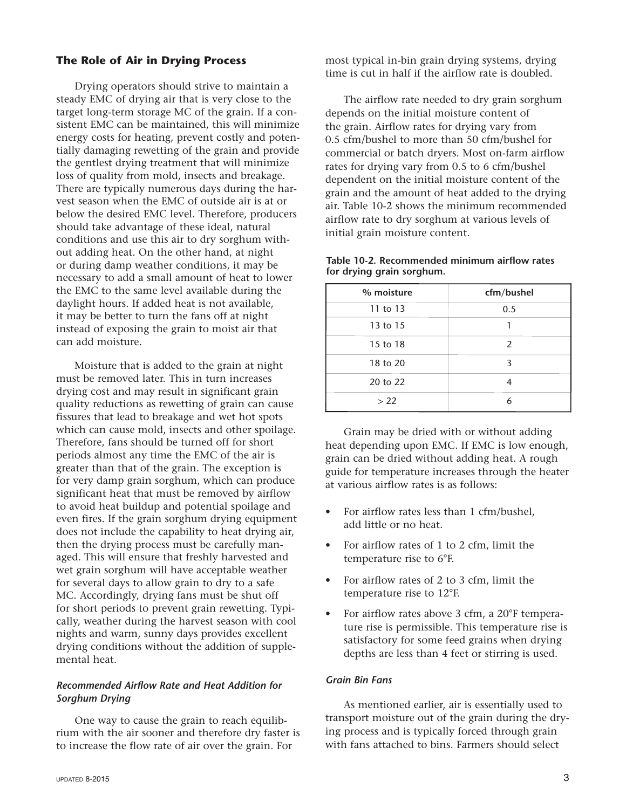#### **The Role of Air in Drying Process**

Drying operators should strive to maintain a steady EMC of drying air that is very close to the target long-term storage MC of the grain. If a consistent EMC can be maintained, this will minimize energy costs for heating, prevent costly and potentially damaging rewetting of the grain and provide the gentlest drying treatment that will minimize loss of quality from mold, insects and breakage. There are typically numerous days during the harvest season when the EMC of outside air is at or below the desired EMC level. Therefore, producers should take advantage of these ideal, natural conditions and use this air to dry sorghum without adding heat. On the other hand, at night or during damp weather conditions, it may be necessary to add a small amount of heat to lower the EMC to the same level available during the daylight hours. If added heat is not available, it may be better to turn the fans off at night instead of exposing the grain to moist air that can add moisture.

Moisture that is added to the grain at night must be removed later. This in turn increases drying cost and may result in significant grain quality reductions as rewetting of grain can cause fissures that lead to breakage and wet hot spots which can cause mold, insects and other spoilage. Therefore, fans should be turned off for short periods almost any time the EMC of the air is greater than that of the grain. The exception is for very damp grain sorghum, which can produce significant heat that must be removed by airflow to avoid heat buildup and potential spoilage and even fires. If the grain sorghum drying equipment does not include the capability to heat drying air, then the drying process must be carefully managed. This will ensure that freshly harvested and wet grain sorghum will have acceptable weather for several days to allow grain to dry to a safe MC. Accordingly, drying fans must be shut off for short periods to prevent grain rewetting. Typically, weather during the harvest season with cool nights and warm, sunny days provides excellent drying conditions without the addition of supplemental heat.

#### *Recommended Airflow Rate and Heat Addition for Sorghum Drying*

One way to cause the grain to reach equilibrium with the air sooner and therefore dry faster is to increase the flow rate of air over the grain. For

most typical in-bin grain drying systems, drying time is cut in half if the airflow rate is doubled.

The airflow rate needed to dry grain sorghum depends on the initial moisture content of the grain. Airflow rates for drying vary from 0.5 cfm/bushel to more than 50 cfm/bushel for commercial or batch dryers. Most on-farm airflow rates for drying vary from 0.5 to 6 cfm/bushel dependent on the initial moisture content of the grain and the amount of heat added to the drying air. Table 10-2 shows the minimum recommended airflow rate to dry sorghum at various levels of initial grain moisture content.

| % moisture | cfm/bushel |
|------------|------------|
| 11 to 13   | 0.5        |
| 13 to 15   |            |
| 15 to 18   | 2          |
| 18 to 20   | 3          |
| 20 to 22   |            |
| > 22       | 6          |

Table 10-2. Recommended minimum airflow rates **for drying grain sorghum.**

Grain may be dried with or without adding heat depending upon EMC. If EMC is low enough, grain can be dried without adding heat. A rough guide for temperature increases through the heater at various airflow rates is as follows:

- For airflow rates less than 1 cfm/bushel, add little or no heat.
- For airflow rates of 1 to 2 cfm, limit the temperature rise to 6°F.
- For airflow rates of 2 to 3 cfm, limit the temperature rise to 12°F.
- For airflow rates above 3 cfm, a 20°F temperature rise is permissible. This temperature rise is satisfactory for some feed grains when drying depths are less than 4 feet or stirring is used.

#### *Grain Bin Fans*

As mentioned earlier, air is essentially used to transport moisture out of the grain during the drying process and is typically forced through grain with fans attached to bins. Farmers should select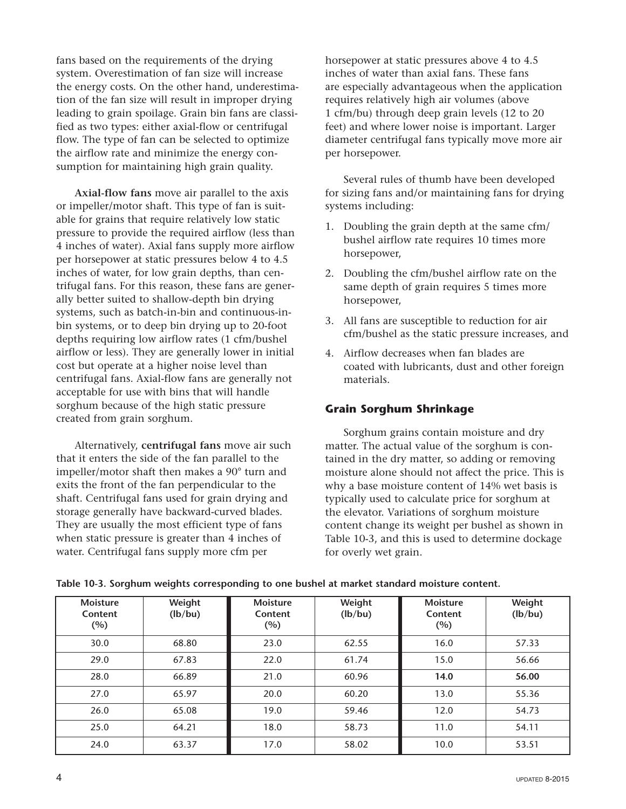fans based on the requirements of the drying system. Overestimation of fan size will increase the energy costs. On the other hand, underestimation of the fan size will result in improper drying leading to grain spoilage. Grain bin fans are classified as two types: either axial-flow or centrifugal flow. The type of fan can be selected to optimize the airflow rate and minimize the energy consumption for maintaining high grain quality.

Axial-flow fans move air parallel to the axis or impeller/motor shaft. This type of fan is suitable for grains that require relatively low static pressure to provide the required airflow (less than 4 inches of water). Axial fans supply more airflow per horsepower at static pressures below 4 to 4.5 inches of water, for low grain depths, than centrifugal fans. For this reason, these fans are generally better suited to shallow-depth bin drying systems, such as batch-in-bin and continuous-inbin systems, or to deep bin drying up to 20-foot depths requiring low airflow rates (1 cfm/bushel airflow or less). They are generally lower in initial cost but operate at a higher noise level than centrifugal fans. Axial-flow fans are generally not acceptable for use with bins that will handle sorghum because of the high static pressure created from grain sorghum.

Alternatively, **centrifugal fans** move air such that it enters the side of the fan parallel to the impeller/motor shaft then makes a 90° turn and exits the front of the fan perpendicular to the shaft. Centrifugal fans used for grain drying and storage generally have backward-curved blades. They are usually the most efficient type of fans when static pressure is greater than 4 inches of water. Centrifugal fans supply more cfm per

horsepower at static pressures above 4 to 4.5 inches of water than axial fans. These fans are especially advantageous when the application requires relatively high air volumes (above 1 cfm/bu) through deep grain levels (12 to 20 feet) and where lower noise is important. Larger diameter centrifugal fans typically move more air per horsepower.

Several rules of thumb have been developed for sizing fans and/or maintaining fans for drying systems including:

- 1. Doubling the grain depth at the same cfm/ bushel airflow rate requires 10 times more horsepower,
- 2. Doubling the cfm/bushel airflow rate on the same depth of grain requires 5 times more horsepower,
- 3. All fans are susceptible to reduction for air cfm/bushel as the static pressure increases, and
- 4. Airflow decreases when fan blades are coated with lubricants, dust and other foreign materials.

### **Grain Sorghum Shrinkage**

Sorghum grains contain moisture and dry matter. The actual value of the sorghum is contained in the dry matter, so adding or removing moisture alone should not affect the price. This is why a base moisture content of 14% wet basis is typically used to calculate price for sorghum at the elevator. Variations of sorghum moisture content change its weight per bushel as shown in Table 10-3, and this is used to determine dockage for overly wet grain.

| <b>Moisture</b><br>Content<br>(%) | Weight<br>(lb/bu) | <b>Moisture</b><br>Content<br>(%) | Weight<br>(lb/bu) | <b>Moisture</b><br>Content<br>(%) | Weight<br>(lb/bu) |
|-----------------------------------|-------------------|-----------------------------------|-------------------|-----------------------------------|-------------------|
| 30.0                              | 68.80             | 23.0                              | 62.55             | 16.0                              | 57.33             |
| 29.0                              | 67.83             | 22.0                              | 61.74             | 15.0                              | 56.66             |
| 28.0                              | 66.89             | 21.0                              | 60.96             | 14.0                              | 56.00             |
| 27.0                              | 65.97             | 20.0                              | 60.20             | 13.0                              | 55.36             |
| 26.0                              | 65.08             | 19.0                              | 59.46             | 12.0                              | 54.73             |
| 25.0                              | 64.21             | 18.0                              | 58.73             | 11.0                              | 54.11             |
| 24.0                              | 63.37             | 17.0                              | 58.02             | 10.0                              | 53.51             |

#### **Table 103. Sorghum weights corresponding to one bushel at market standard moisture content.**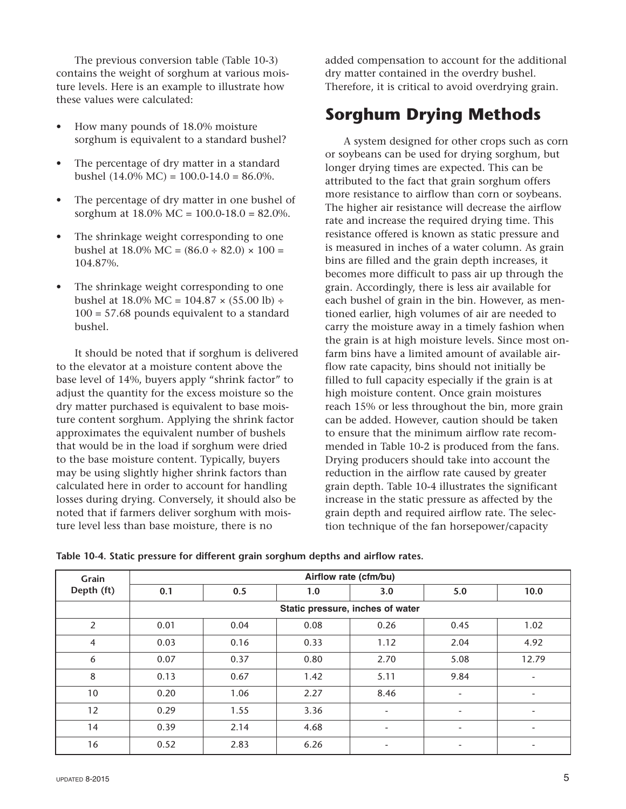The previous conversion table (Table 10-3) contains the weight of sorghum at various moisture levels. Here is an example to illustrate how these values were calculated:

- How many pounds of 18.0% moisture sorghum is equivalent to a standard bushel?
- The percentage of dry matter in a standard bushel  $(14.0\% \text{ MC}) = 100.0 - 14.0 = 86.0\%$ .
- The percentage of dry matter in one bushel of sorghum at  $18.0\%$  MC =  $100.0-18.0 = 82.0\%$ .
- The shrinkage weight corresponding to one bushel at  $18.0\%$  MC =  $(86.0 \div 82.0) \times 100 =$ 104.87%.
- The shrinkage weight corresponding to one bushel at  $18.0\%$  MC =  $104.87 \times (55.00)$  lb) ÷  $100 = 57.68$  pounds equivalent to a standard bushel.

It should be noted that if sorghum is delivered to the elevator at a moisture content above the base level of 14%, buyers apply "shrink factor" to adjust the quantity for the excess moisture so the dry matter purchased is equivalent to base moisture content sorghum. Applying the shrink factor approximates the equivalent number of bushels that would be in the load if sorghum were dried to the base moisture content. Typically, buyers may be using slightly higher shrink factors than calculated here in order to account for handling losses during drying. Conversely, it should also be noted that if farmers deliver sorghum with moisture level less than base moisture, there is no

added compensation to account for the additional dry matter contained in the overdry bushel. Therefore, it is critical to avoid overdrying grain.

# **Sorghum Drying Methods**

A system designed for other crops such as corn or soybeans can be used for drying sorghum, but longer drying times are expected. This can be attributed to the fact that grain sorghum offers more resistance to airflow than corn or soybeans. The higher air resistance will decrease the airflow rate and increase the required drying time. This resistance offered is known as static pressure and is measured in inches of a water column. As grain bins are filled and the grain depth increases, it becomes more difficult to pass air up through the grain. Accordingly, there is less air available for each bushel of grain in the bin. However, as mentioned earlier, high volumes of air are needed to carry the moisture away in a timely fashion when the grain is at high moisture levels. Since most onfarm bins have a limited amount of available airflow rate capacity, bins should not initially be filled to full capacity especially if the grain is at high moisture content. Once grain moistures reach 15% or less throughout the bin, more grain can be added. However, caution should be taken to ensure that the minimum airflow rate recommended in Table 10-2 is produced from the fans. Drying producers should take into account the reduction in the airflow rate caused by greater grain depth. Table 10-4 illustrates the significant increase in the static pressure as affected by the grain depth and required airflow rate. The selection technique of the fan horsepower/capacity

|  | Table 10-4. Static pressure for different grain sorghum depths and airflow rates. |  |  |  |  |
|--|-----------------------------------------------------------------------------------|--|--|--|--|
|  |                                                                                   |  |  |  |  |

| Grain<br>Depth (ft) | Airflow rate (cfm/bu) |      |      |                                  |                          |                              |  |  |  |  |
|---------------------|-----------------------|------|------|----------------------------------|--------------------------|------------------------------|--|--|--|--|
|                     | 0.1                   | 0.5  | 1.0  | 3.0                              | 5.0                      | 10.0                         |  |  |  |  |
|                     |                       |      |      | Static pressure, inches of water |                          |                              |  |  |  |  |
| 2                   | 0.01                  | 0.04 | 0.08 | 0.26                             | 0.45                     | 1.02                         |  |  |  |  |
| $\overline{4}$      | 0.03                  | 0.16 | 0.33 | 1.12                             | 2.04                     | 4.92                         |  |  |  |  |
| 6                   | 0.07                  | 0.37 | 0.80 | 2.70                             | 5.08                     | 12.79                        |  |  |  |  |
| 8                   | 0.13                  | 0.67 | 1.42 | 5.11                             | 9.84                     | $\qquad \qquad \blacksquare$ |  |  |  |  |
| 10                  | 0.20                  | 1.06 | 2.27 | 8.46                             |                          |                              |  |  |  |  |
| 12                  | 0.29                  | 1.55 | 3.36 | $\overline{\phantom{a}}$         | $\overline{\phantom{a}}$ | ٠                            |  |  |  |  |
| 14                  | 0.39                  | 2.14 | 4.68 | ٠                                | ٠                        |                              |  |  |  |  |
| 16                  | 0.52                  | 2.83 | 6.26 | ٠                                | $\overline{\phantom{a}}$ | ٠                            |  |  |  |  |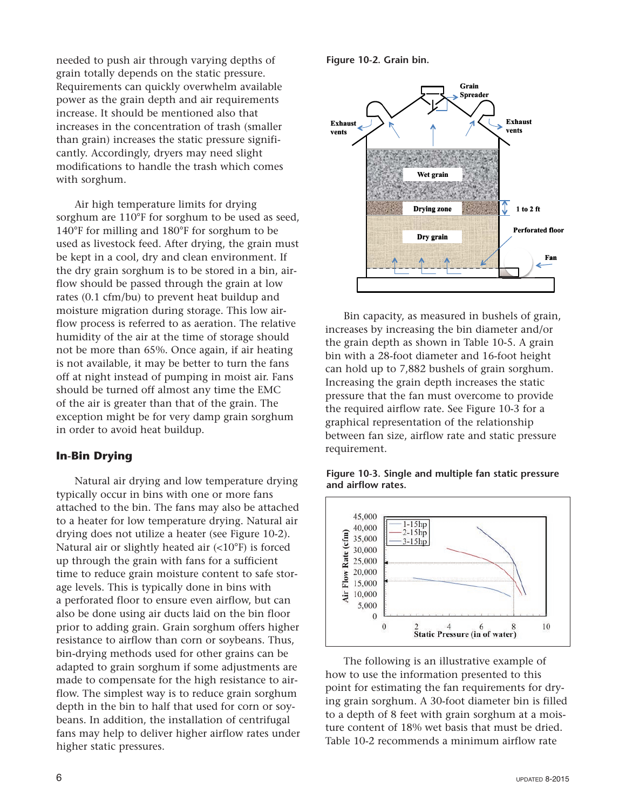needed to push air through varying depths of grain totally depends on the static pressure. Requirements can quickly overwhelm available power as the grain depth and air requirements increase. It should be mentioned also that increases in the concentration of trash (smaller than grain) increases the static pressure significantly. Accordingly, dryers may need slight modifications to handle the trash which comes with sorghum.

Air high temperature limits for drying sorghum are 110°F for sorghum to be used as seed, 140°F for milling and 180°F for sorghum to be used as livestock feed. After drying, the grain must be kept in a cool, dry and clean environment. If the dry grain sorghum is to be stored in a bin, airflow should be passed through the grain at low rates (0.1 cfm/bu) to prevent heat buildup and moisture migration during storage. This low airflow process is referred to as aeration. The relative humidity of the air at the time of storage should not be more than 65%. Once again, if air heating is not available, it may be better to turn the fans off at night instead of pumping in moist air. Fans should be turned off almost any time the EMC of the air is greater than that of the grain. The exception might be for very damp grain sorghum in order to avoid heat buildup.

#### **In-Bin Drying**

Natural air drying and low temperature drying typically occur in bins with one or more fans attached to the bin. The fans may also be attached to a heater for low temperature drying. Natural air drying does not utilize a heater (see Figure 10-2). Natural air or slightly heated air (<10°F) is forced up through the grain with fans for a sufficient time to reduce grain moisture content to safe storage levels. This is typically done in bins with a perforated floor to ensure even airflow, but can also be done using air ducts laid on the bin floor prior to adding grain. Grain sorghum offers higher resistance to airflow than corn or soybeans. Thus, bin-drying methods used for other grains can be adapted to grain sorghum if some adjustments are made to compensate for the high resistance to airflow. The simplest way is to reduce grain sorghum depth in the bin to half that used for corn or soybeans. In addition, the installation of centrifugal fans may help to deliver higher airflow rates under higher static pressures.

Figure 10-2. Grain bin.



Bin capacity, as measured in bushels of grain, increases by increasing the bin diameter and/or the grain depth as shown in Table 10-5. A grain bin with a 28-foot diameter and 16-foot height can hold up to 7,882 bushels of grain sorghum. Increasing the grain depth increases the static pressure that the fan must overcome to provide the required airflow rate. See Figure 10-3 for a graphical representation of the relationship between fan size, airflow rate and static pressure requirement.





The following is an illustrative example of how to use the information presented to this point for estimating the fan requirements for drying grain sorghum. A 30-foot diameter bin is filled to a depth of 8 feet with grain sorghum at a moisture content of 18% wet basis that must be dried. Table 10-2 recommends a minimum airflow rate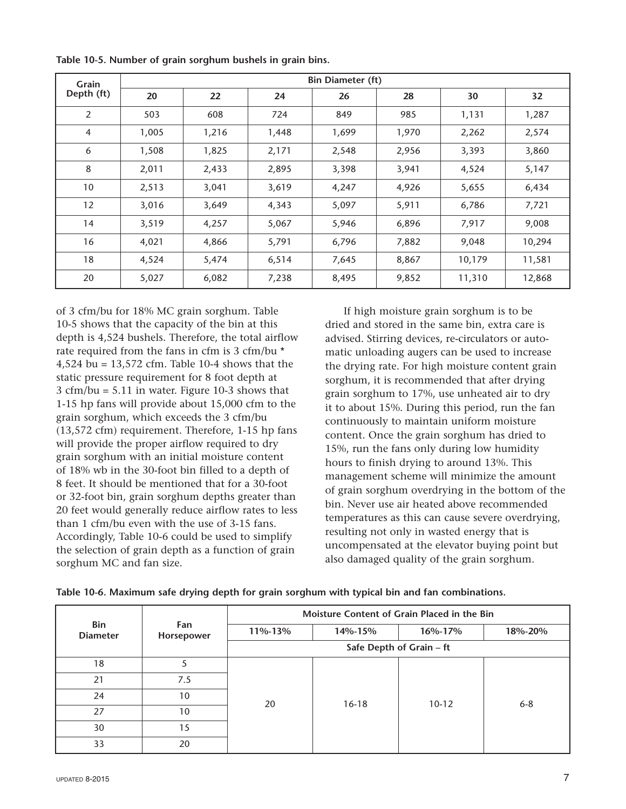| Grain          | <b>Bin Diameter (ft)</b> |       |       |       |       |        |        |  |  |  |
|----------------|--------------------------|-------|-------|-------|-------|--------|--------|--|--|--|
| Depth (ft)     | 20                       | 22    | 24    | 26    | 28    | 30     | 32     |  |  |  |
| $\overline{2}$ | 503                      | 608   | 724   | 849   | 985   | 1,131  | 1,287  |  |  |  |
| 4              | 1,005                    | 1,216 | 1,448 | 1,699 | 1,970 | 2,262  | 2,574  |  |  |  |
| 6              | 1,508                    | 1,825 | 2,171 | 2,548 | 2,956 | 3,393  | 3,860  |  |  |  |
| 8              | 2,011                    | 2,433 | 2,895 | 3,398 | 3,941 | 4,524  | 5,147  |  |  |  |
| 10             | 2,513                    | 3,041 | 3,619 | 4,247 | 4,926 | 5,655  | 6,434  |  |  |  |
| 12             | 3,016                    | 3,649 | 4,343 | 5,097 | 5,911 | 6,786  | 7,721  |  |  |  |
| 14             | 3,519                    | 4,257 | 5,067 | 5,946 | 6,896 | 7,917  | 9,008  |  |  |  |
| 16             | 4,021                    | 4,866 | 5,791 | 6,796 | 7,882 | 9,048  | 10,294 |  |  |  |
| 18             | 4,524                    | 5,474 | 6,514 | 7,645 | 8,867 | 10,179 | 11,581 |  |  |  |
| 20             | 5,027                    | 6,082 | 7,238 | 8,495 | 9,852 | 11,310 | 12,868 |  |  |  |

Table 10-5. Number of grain sorghum bushels in grain bins.

of 3 cfm/bu for 18% MC grain sorghum. Table 105 shows that the capacity of the bin at this depth is 4,524 bushels. Therefore, the total airflow rate required from the fans in cfm is 3 cfm/bu \* 4,524 bu =  $13,572$  cfm. Table 10-4 shows that the static pressure requirement for 8 foot depth at  $3 \text{ cfm/bu} = 5.11$  in water. Figure 10-3 shows that 115 hp fans will provide about 15,000 cfm to the grain sorghum, which exceeds the 3 cfm/bu  $(13,572 \text{ cfm})$  requirement. Therefore, 1-15 hp fans will provide the proper airflow required to dry grain sorghum with an initial moisture content of 18% wb in the 30-foot bin filled to a depth of 8 feet. It should be mentioned that for a 30-foot or 32-foot bin, grain sorghum depths greater than 20 feet would generally reduce airflow rates to less than 1 cfm/bu even with the use of 3-15 fans. Accordingly, Table 10-6 could be used to simplify the selection of grain depth as a function of grain sorghum MC and fan size.

If high moisture grain sorghum is to be dried and stored in the same bin, extra care is advised. Stirring devices, re-circulators or automatic unloading augers can be used to increase the drying rate. For high moisture content grain sorghum, it is recommended that after drying grain sorghum to 17%, use unheated air to dry it to about 15%. During this period, run the fan continuously to maintain uniform moisture content. Once the grain sorghum has dried to 15%, run the fans only during low humidity hours to finish drying to around 13%. This management scheme will minimize the amount of grain sorghum overdrying in the bottom of the bin. Never use air heated above recommended temperatures as this can cause severe overdrying, resulting not only in wasted energy that is uncompensated at the elevator buying point but also damaged quality of the grain sorghum.

|                               | Fan<br>Horsepower | Moisture Content of Grain Placed in the Bin |         |           |         |  |  |
|-------------------------------|-------------------|---------------------------------------------|---------|-----------|---------|--|--|
| <b>Bin</b><br><b>Diameter</b> |                   | 11%-13%                                     | 14%-15% | 16%-17%   | 18%-20% |  |  |
|                               |                   | Safe Depth of Grain - ft                    |         |           |         |  |  |
| 18                            | 5                 |                                             |         |           |         |  |  |
| 21                            | 7.5               | 20                                          | $16-18$ | $10 - 12$ | $6 - 8$ |  |  |
| 24                            | 10                |                                             |         |           |         |  |  |
| 27                            | 10                |                                             |         |           |         |  |  |
| 30                            | 15                |                                             |         |           |         |  |  |
| 33                            | 20                |                                             |         |           |         |  |  |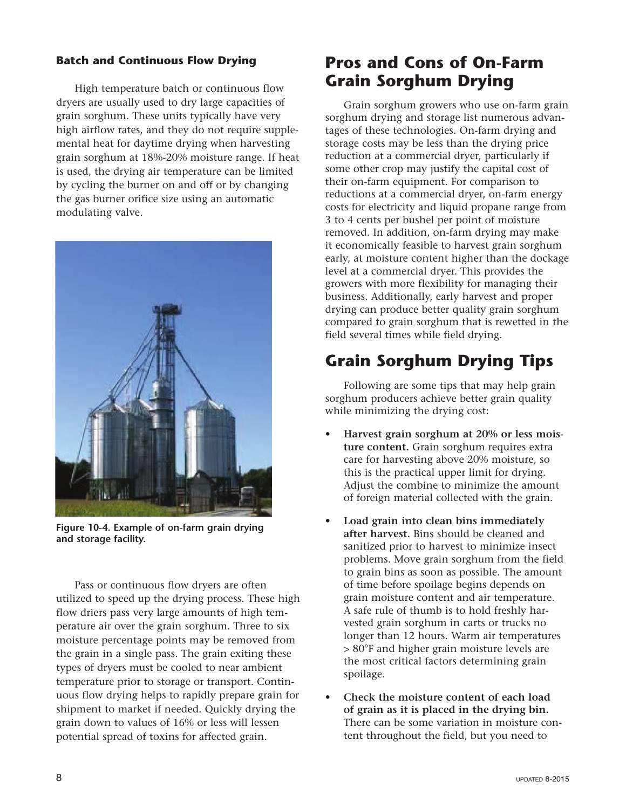### **Batch and Continuous Flow Drying**

High temperature batch or continuous flow dryers are usually used to dry large capacities of grain sorghum. These units typically have very high airflow rates, and they do not require supplemental heat for daytime drying when harvesting grain sorghum at 18%-20% moisture range. If heat is used, the drying air temperature can be limited by cycling the burner on and off or by changing the gas burner orifice size using an automatic modulating valve.



Figure 10-4. Example of on-farm grain drying **and storage facility.**

Pass or continuous flow dryers are often utilized to speed up the drying process. These high flow driers pass very large amounts of high temperature air over the grain sorghum. Three to six moisture percentage points may be removed from the grain in a single pass. The grain exiting these types of dryers must be cooled to near ambient temperature prior to storage or transport. Continuous flow drying helps to rapidly prepare grain for shipment to market if needed. Quickly drying the grain down to values of 16% or less will lessen potential spread of toxins for affected grain.

### **Pros and Cons of On-Farm Grain Sorghum Drying**

Grain sorghum growers who use on-farm grain sorghum drying and storage list numerous advantages of these technologies. On-farm drying and storage costs may be less than the drying price reduction at a commercial dryer, particularly if some other crop may justify the capital cost of their on-farm equipment. For comparison to reductions at a commercial dryer, on-farm energy costs for electricity and liquid propane range from 3 to 4 cents per bushel per point of moisture removed. In addition, on-farm drying may make it economically feasible to harvest grain sorghum early, at moisture content higher than the dockage level at a commercial dryer. This provides the growers with more flexibility for managing their business. Additionally, early harvest and proper drying can produce better quality grain sorghum compared to grain sorghum that is rewetted in the field several times while field drying.

# **Grain Sorghum Drying Tips**

Following are some tips that may help grain sorghum producers achieve better grain quality while minimizing the drying cost:

- Harvest grain sorghum at 20% or less mois**ture content.** Grain sorghum requires extra care for harvesting above 20% moisture, so this is the practical upper limit for drying. Adjust the combine to minimize the amount of foreign material collected with the grain.
- Load grain into clean bins immediately **after harvest.** Bins should be cleaned and sanitized prior to harvest to minimize insect problems. Move grain sorghum from the field to grain bins as soon as possible. The amount of time before spoilage begins depends on grain moisture content and air temperature. A safe rule of thumb is to hold freshly harvested grain sorghum in carts or trucks no longer than 12 hours. Warm air temperatures > 80°F and higher grain moisture levels are the most critical factors determining grain spoilage.
- Check the moisture content of each load **of grain as it is placed in the drying bin.** There can be some variation in moisture content throughout the field, but you need to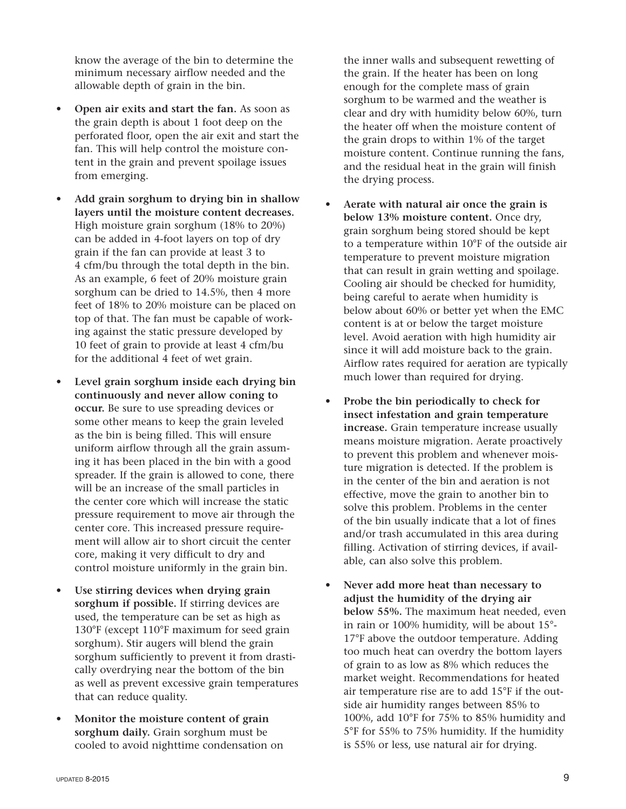know the average of the bin to determine the minimum necessary airflow needed and the allowable depth of grain in the bin.

- **Open air exits and start the fan.** As soon as the grain depth is about 1 foot deep on the perforated floor, open the air exit and start the fan. This will help control the moisture content in the grain and prevent spoilage issues from emerging.
- Add grain sorghum to drying bin in shallow **layers until the moisture content decreases.** High moisture grain sorghum (18% to 20%) can be added in 4-foot layers on top of dry grain if the fan can provide at least 3 to 4 cfm/bu through the total depth in the bin. As an example, 6 feet of 20% moisture grain sorghum can be dried to 14.5%, then 4 more feet of 18% to 20% moisture can be placed on top of that. The fan must be capable of working against the static pressure developed by 10 feet of grain to provide at least 4 cfm/bu for the additional 4 feet of wet grain.
- Level grain sorghum inside each drying bin **continuously and never allow coning to occur.** Be sure to use spreading devices or some other means to keep the grain leveled as the bin is being filled. This will ensure uniform airflow through all the grain assuming it has been placed in the bin with a good spreader. If the grain is allowed to cone, there will be an increase of the small particles in the center core which will increase the static pressure requirement to move air through the center core. This increased pressure requirement will allow air to short circuit the center core, making it very difficult to dry and control moisture uniformly in the grain bin.
- Use stirring devices when drying grain **sorghum if possible.** If stirring devices are used, the temperature can be set as high as 130°F (except 110°F maximum for seed grain sorghum). Stir augers will blend the grain sorghum sufficiently to prevent it from drastically overdrying near the bottom of the bin as well as prevent excessive grain temperatures that can reduce quality.
- Monitor the moisture content of grain **sorghum daily.** Grain sorghum must be cooled to avoid nighttime condensation on

the inner walls and subsequent rewetting of the grain. If the heater has been on long enough for the complete mass of grain sorghum to be warmed and the weather is clear and dry with humidity below 60%, turn the heater off when the moisture content of the grain drops to within 1% of the target moisture content. Continue running the fans, and the residual heat in the grain will finish the drying process.

- Aerate with natural air once the grain is **below 13% moisture content.** Once dry, grain sorghum being stored should be kept to a temperature within 10°F of the outside air temperature to prevent moisture migration that can result in grain wetting and spoilage. Cooling air should be checked for humidity, being careful to aerate when humidity is below about 60% or better yet when the EMC content is at or below the target moisture level. Avoid aeration with high humidity air since it will add moisture back to the grain. Airflow rates required for aeration are typically much lower than required for drying.
- • **Probe the bin periodically to check for insect infestation and grain temperature increase.** Grain temperature increase usually means moisture migration. Aerate proactively to prevent this problem and whenever moisture migration is detected. If the problem is in the center of the bin and aeration is not effective, move the grain to another bin to solve this problem. Problems in the center of the bin usually indicate that a lot of fines and/or trash accumulated in this area during filling. Activation of stirring devices, if available, can also solve this problem.
- Never add more heat than necessary to **adjust the humidity of the drying air below 55%.** The maximum heat needed, even in rain or 100% humidity, will be about 15° 17°F above the outdoor temperature. Adding too much heat can overdry the bottom layers of grain to as low as 8% which reduces the market weight. Recommendations for heated air temperature rise are to add 15°F if the outside air humidity ranges between 85% to 100%, add 10°F for 75% to 85% humidity and 5°F for 55% to 75% humidity. If the humidity is 55% or less, use natural air for drying.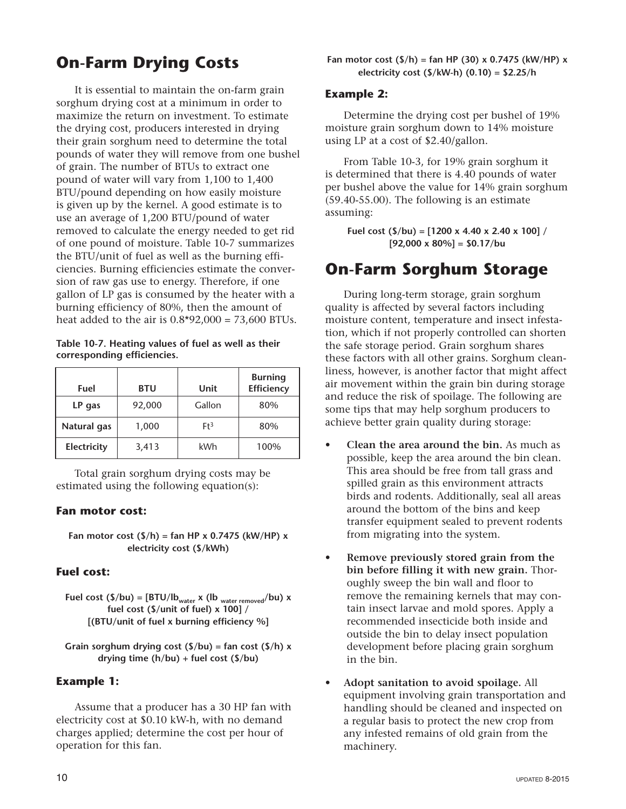# **On-Farm Drying Costs**

It is essential to maintain the on-farm grain sorghum drying cost at a minimum in order to maximize the return on investment. To estimate the drying cost, producers interested in drying their grain sorghum need to determine the total pounds of water they will remove from one bushel of grain. The number of BTUs to extract one pound of water will vary from 1,100 to 1,400 BTU/pound depending on how easily moisture is given up by the kernel. A good estimate is to use an average of 1,200 BTU/pound of water removed to calculate the energy needed to get rid of one pound of moisture. Table 10-7 summarizes the BTU/unit of fuel as well as the burning efficiencies. Burning efficiencies estimate the conversion of raw gas use to energy. Therefore, if one gallon of LP gas is consumed by the heater with a burning efficiency of 80%, then the amount of heat added to the air is  $0.8*92,000 = 73,600$  BTUs.

Table 10-7. Heating values of fuel as well as their **corresponding efficiencies.**

| Fuel        | <b>BTU</b> | Unit   | <b>Burning</b><br><b>Efficiency</b> |
|-------------|------------|--------|-------------------------------------|
| LP gas      | 92,000     | Gallon | 80%                                 |
| Natural gas | 1,000      | $Ft^3$ | 80%                                 |
| Electricity | 3,413      | kWh    | 100%                                |

Total grain sorghum drying costs may be estimated using the following equation(s):

### **Fan motor cost:**

**Fan motor cost (\$/h) = fan HP x 0.7475 (kW/HP) x electricity cost (\$/kWh)**

### **Fuel cost:**

**Fuel cost (\$/bu) =**  $[BTU/lb_{water} x (lb_{water removed}/bu) x]$ **fuel cost (\$/unit of fuel) x 100] / [(BTU/unit of fuel x burning efficiency %]**

**Grain sorghum drying cost (\$/bu) = fan cost (\$/h) x drying time (h/bu) + fuel cost (\$/bu)**

### **Example 1:**

Assume that a producer has a 30 HP fan with electricity cost at \$0.10 kW-h, with no demand charges applied; determine the cost per hour of operation for this fan.

### **Example 2:**

Determine the drying cost per bushel of 19% moisture grain sorghum down to 14% moisture using LP at a cost of \$2.40/gallon.

From Table 10-3, for 19% grain sorghum it is determined that there is 4.40 pounds of water per bushel above the value for 14% grain sorghum  $(59.40-55.00)$ . The following is an estimate assuming:

**Fuel cost (\$/bu) = [1200 x 4.40 x 2.40 x 100] / [92,000 x 80%] = \$0.17/bu**

### **On-Farm Sorghum Storage**

During long-term storage, grain sorghum quality is affected by several factors including moisture content, temperature and insect infestation, which if not properly controlled can shorten the safe storage period. Grain sorghum shares these factors with all other grains. Sorghum cleanliness, however, is another factor that might affect air movement within the grain bin during storage and reduce the risk of spoilage. The following are some tips that may help sorghum producers to achieve better grain quality during storage:

- **Clean the area around the bin.** As much as possible, keep the area around the bin clean. This area should be free from tall grass and spilled grain as this environment attracts birds and rodents. Additionally, seal all areas around the bottom of the bins and keep transfer equipment sealed to prevent rodents from migrating into the system.
- • **Remove previously stored grain from the bin before filling it with new grain.** Thoroughly sweep the bin wall and floor to remove the remaining kernels that may contain insect larvae and mold spores. Apply a recommended insecticide both inside and outside the bin to delay insect population development before placing grain sorghum in the bin.
- • **Adopt sanitation to avoid spoilage.** All equipment involving grain transportation and handling should be cleaned and inspected on a regular basis to protect the new crop from any infested remains of old grain from the machinery.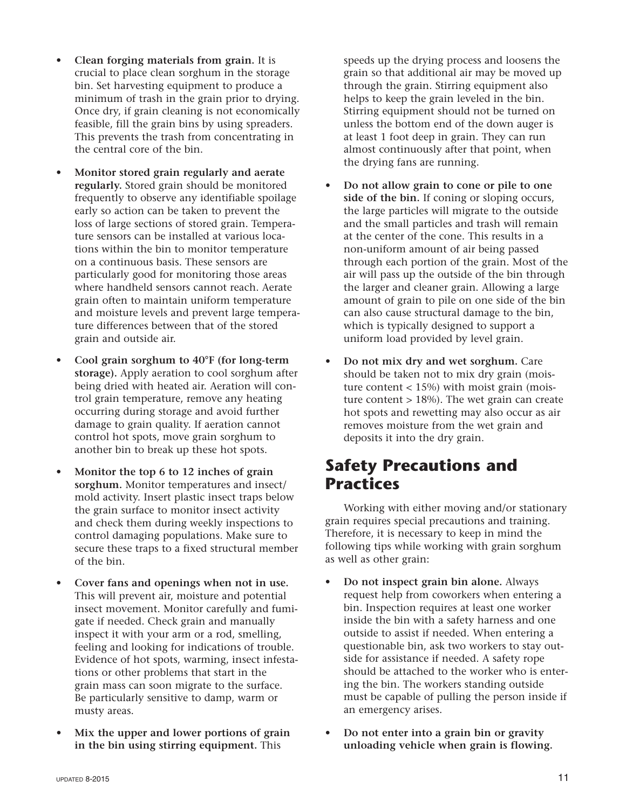- • **Clean forging materials from grain.** It is crucial to place clean sorghum in the storage bin. Set harvesting equipment to produce a minimum of trash in the grain prior to drying. Once dry, if grain cleaning is not economically feasible, fill the grain bins by using spreaders. This prevents the trash from concentrating in the central core of the bin.
- **Monitor stored grain regularly and aerate regularly.** Stored grain should be monitored frequently to observe any identifiable spoilage early so action can be taken to prevent the loss of large sections of stored grain. Temperature sensors can be installed at various locations within the bin to monitor temperature on a continuous basis. These sensors are particularly good for monitoring those areas where handheld sensors cannot reach. Aerate grain often to maintain uniform temperature and moisture levels and prevent large temperature differences between that of the stored grain and outside air.
- Cool grain sorghum to 40°F (for long-term **storage).** Apply aeration to cool sorghum after being dried with heated air. Aeration will control grain temperature, remove any heating occurring during storage and avoid further damage to grain quality. If aeration cannot control hot spots, move grain sorghum to another bin to break up these hot spots.
- Monitor the top 6 to 12 inches of grain **sorghum.** Monitor temperatures and insect/ mold activity. Insert plastic insect traps below the grain surface to monitor insect activity and check them during weekly inspections to control damaging populations. Make sure to secure these traps to a fixed structural member of the bin.
- Cover fans and openings when not in use. This will prevent air, moisture and potential insect movement. Monitor carefully and fumigate if needed. Check grain and manually inspect it with your arm or a rod, smelling, feeling and looking for indications of trouble. Evidence of hot spots, warming, insect infestations or other problems that start in the grain mass can soon migrate to the surface. Be particularly sensitive to damp, warm or musty areas.
- Mix the upper and lower portions of grain **in the bin using stirring equipment.** This

speeds up the drying process and loosens the grain so that additional air may be moved up through the grain. Stirring equipment also helps to keep the grain leveled in the bin. Stirring equipment should not be turned on unless the bottom end of the down auger is at least 1 foot deep in grain. They can run almost continuously after that point, when the drying fans are running.

- Do not allow grain to cone or pile to one **side of the bin.** If coning or sloping occurs, the large particles will migrate to the outside and the small particles and trash will remain at the center of the cone. This results in a non-uniform amount of air being passed through each portion of the grain. Most of the air will pass up the outside of the bin through the larger and cleaner grain. Allowing a large amount of grain to pile on one side of the bin can also cause structural damage to the bin, which is typically designed to support a uniform load provided by level grain.
- • **Do not mix dry and wet sorghum.** Care should be taken not to mix dry grain (moisture content  $<$  15%) with moist grain (moisture content  $> 18\%$ ). The wet grain can create hot spots and rewetting may also occur as air removes moisture from the wet grain and deposits it into the dry grain.

### **Safety Precautions and Practices**

Working with either moving and/or stationary grain requires special precautions and training. Therefore, it is necessary to keep in mind the following tips while working with grain sorghum as well as other grain:

- • **Do not inspect grain bin alone.** Always request help from coworkers when entering a bin. Inspection requires at least one worker inside the bin with a safety harness and one outside to assist if needed. When entering a questionable bin, ask two workers to stay outside for assistance if needed. A safety rope should be attached to the worker who is entering the bin. The workers standing outside must be capable of pulling the person inside if an emergency arises.
- • **Do not enter into a grain bin or gravity unloading vehicle when grain is flowing.**